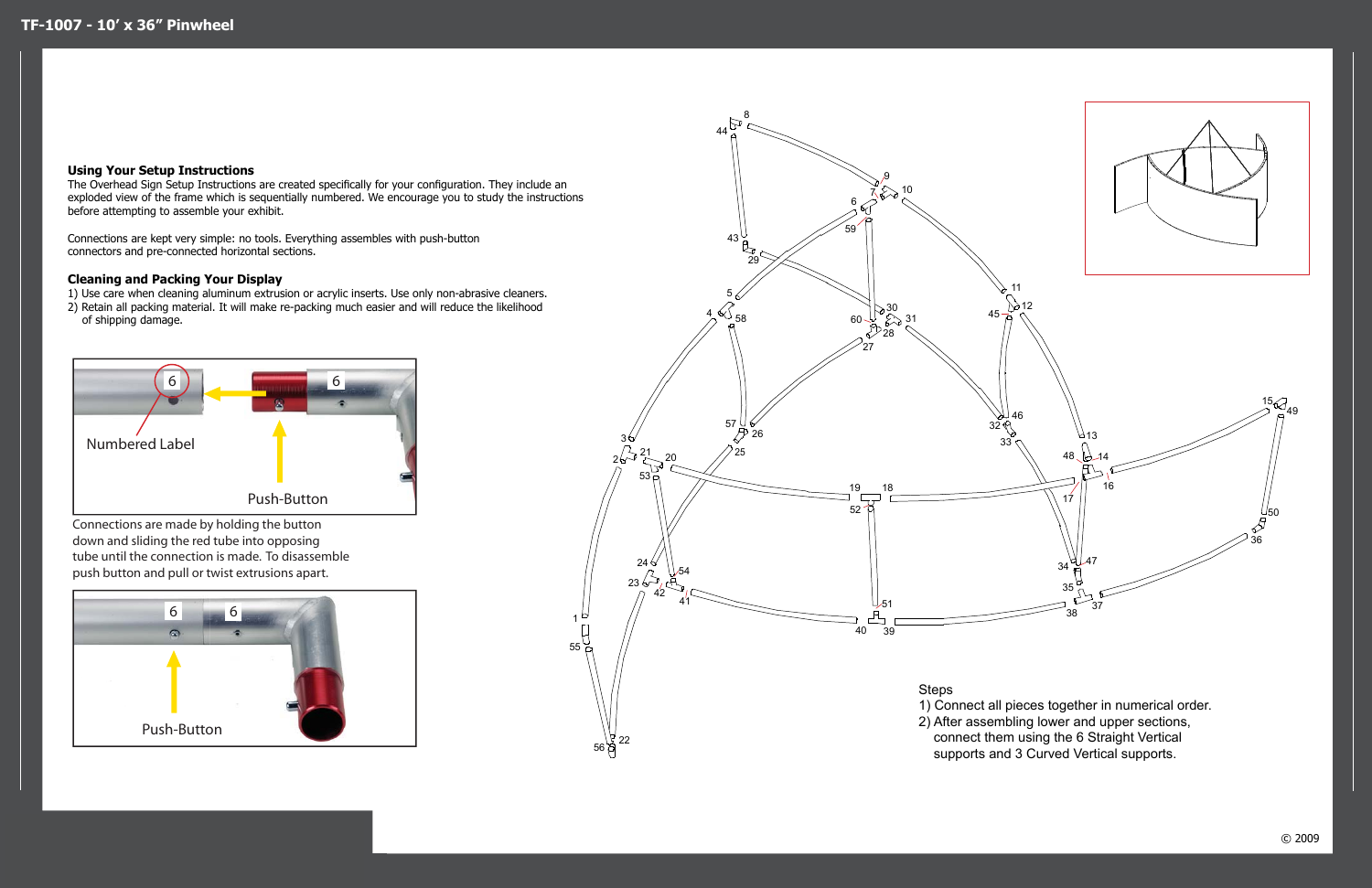Connections are made by holding the button down and sliding the red tube into opposing tube until the connection is made. To disassemble push button and pull or twist extrusions apart.





## **Using Your Setup Instructions**

The Overhead Sign Setup Instructions are created specifically for your configuration. They include an exploded view of the frame which is sequentially numbered. We encourage you to study the instructions before attempting to assemble your exhibit.

Connections are kept very simple: no tools. Everything assembles with push-button connectors and pre-connected horizontal sections.

## **Cleaning and Packing Your Display**

1) Use care when cleaning aluminum extrusion or acrylic inserts. Use only non-abrasive cleaners. 2) Retain all packing material. It will make re-packing much easier and will reduce the likelihood

of shipping damage.